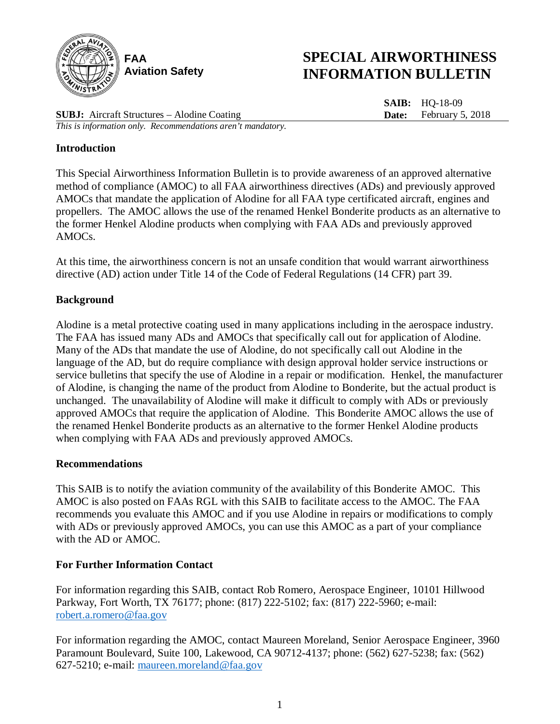

# **SPECIAL AIRWORTHINESS INFORMATION BULLETIN**

**SAIB:** HQ-18-09 **Date:** February 5, 2018

**SUBJ:** Aircraft Structures – Alodine Coating *This is information only. Recommendations aren't mandatory.*

## **Introduction**

This Special Airworthiness Information Bulletin is to provide awareness of an approved alternative method of compliance (AMOC) to all FAA airworthiness directives (ADs) and previously approved AMOCs that mandate the application of Alodine for all FAA type certificated aircraft, engines and propellers. The AMOC allows the use of the renamed Henkel Bonderite products as an alternative to the former Henkel Alodine products when complying with FAA ADs and previously approved AMOCs.

At this time, the airworthiness concern is not an unsafe condition that would warrant airworthiness directive (AD) action under Title 14 of the Code of Federal Regulations (14 CFR) part 39.

## **Background**

Alodine is a metal protective coating used in many applications including in the aerospace industry. The FAA has issued many ADs and AMOCs that specifically call out for application of Alodine. Many of the ADs that mandate the use of Alodine, do not specifically call out Alodine in the language of the AD, but do require compliance with design approval holder service instructions or service bulletins that specify the use of Alodine in a repair or modification. Henkel, the manufacturer of Alodine, is changing the name of the product from Alodine to Bonderite, but the actual product is unchanged. The unavailability of Alodine will make it difficult to comply with ADs or previously approved AMOCs that require the application of Alodine. This Bonderite AMOC allows the use of the renamed Henkel Bonderite products as an alternative to the former Henkel Alodine products when complying with FAA ADs and previously approved AMOCs.

## **Recommendations**

This SAIB is to notify the aviation community of the availability of this Bonderite AMOC. This AMOC is also posted on FAAs RGL with this SAIB to facilitate access to the AMOC. The FAA recommends you evaluate this AMOC and if you use Alodine in repairs or modifications to comply with ADs or previously approved AMOCs, you can use this AMOC as a part of your compliance with the AD or AMOC.

## **For Further Information Contact**

For information regarding this SAIB, contact Rob Romero, Aerospace Engineer, 10101 Hillwood Parkway, Fort Worth, TX 76177; phone: (817) 222-5102; fax: (817) 222-5960; e-mail: [robert.a.romero@faa.gov](mailto:robert.a.romero@faa.gov)

For information regarding the AMOC, contact Maureen Moreland, Senior Aerospace Engineer, 3960 Paramount Boulevard, Suite 100, Lakewood, CA 90712-4137; phone: (562) 627-5238; fax: (562) 627-5210; e-mail: [maureen.moreland@faa.gov](mailto:maureen.moreland@faa.gov)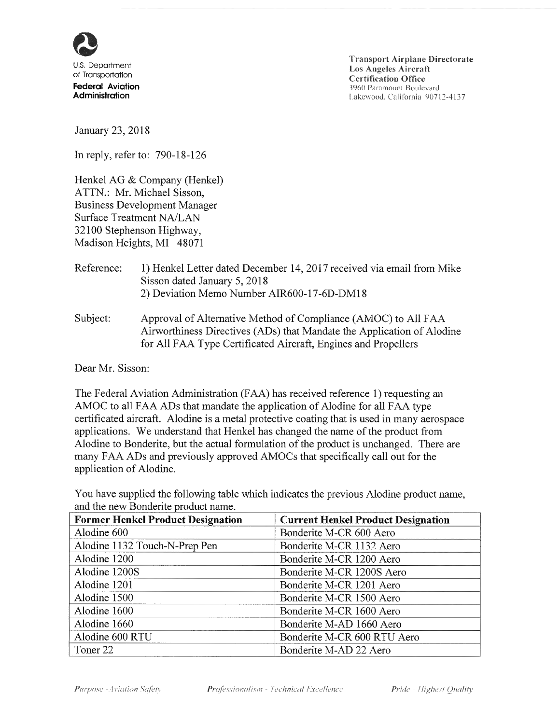

**Transport Airplane Directorate Los Angeles Aircraft Certification Office** 3960 Paramount Boulevard Lakewood, California 90712-4137

January 23, 2018

In reply, refer to: 790-18-126

Henkel AG & Company (Henkel) ATTN.: Mr. Michael Sisson. **Business Development Manager Surface Treatment NA/LAN** 32100 Stephenson Highway, Madison Heights, MI 48071

### Reference: 1) Henkel Letter dated December 14, 2017 received via email from Mike Sisson dated January 5, 2018 2) Deviation Memo Number AIR600-17-6D-DM18

Approval of Alternative Method of Compliance (AMOC) to All FAA Subject: Airworthiness Directives (ADs) that Mandate the Application of Alodine for All FAA Type Certificated Aircraft, Engines and Propellers

Dear Mr. Sisson:

The Federal Aviation Administration (FAA) has received reference 1) requesting an AMOC to all FAA ADs that mandate the application of Alodine for all FAA type certificated aircraft. Alodine is a metal protective coating that is used in many aerospace applications. We understand that Henkel has changed the name of the product from Alodine to Bonderite, but the actual formulation of the product is unchanged. There are many FAA ADs and previously approved AMOCs that specifically call out for the application of Alodine.

You have supplied the following table which indicates the previous Alodine product name, and the new Bonderite product name.

| <b>Former Henkel Product Designation</b> | <b>Current Henkel Product Designation</b> |
|------------------------------------------|-------------------------------------------|
| Alodine 600                              | Bonderite M-CR 600 Aero                   |
| Alodine 1132 Touch-N-Prep Pen            | Bonderite M-CR 1132 Aero                  |
| Alodine 1200                             | Bonderite M-CR 1200 Aero                  |
| Alodine 1200S                            | Bonderite M-CR 1200S Aero                 |
| Alodine 1201                             | Bonderite M-CR 1201 Aero                  |
| Alodine 1500                             | Bonderite M-CR 1500 Aero                  |
| Alodine 1600                             | Bonderite M-CR 1600 Aero                  |
| Alodine 1660                             | Bonderite M-AD 1660 Aero                  |
| Alodine 600 RTU                          | Bonderite M-CR 600 RTU Aero               |
| Toner 22                                 | Bonderite M-AD 22 Aero                    |